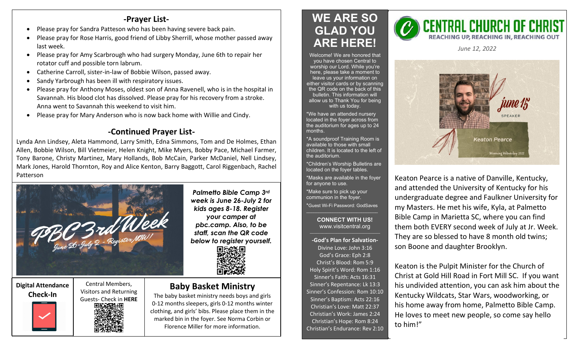## **-Prayer List-**

- Please pray for Sandra Patteson who has been having severe back pain.
- Please pray for Rose Harris, good friend of Libby Sherrill, whose mother passed away last week.
- Please pray for Amy Scarbrough who had surgery Monday, June 6th to repair her rotator cuff and possible torn labrum.
- Catherine Carroll, sister-in-law of Bobbie Wilson, passed away.
- Sandy Yarbrough has been ill with respiratory issues.
- Please pray for Anthony Moses, oldest son of Anna Ravenell, who is in the hospital in Savannah. His blood clot has dissolved. Please pray for his recovery from a stroke. Anna went to Savannah this weekend to visit him.
- Please pray for Mary Anderson who is now back home with Willie and Cindy.

## **-Continued Prayer List-**

Lynda Ann Lindsey, Aleta Hammond, Larry Smith, Edna Simmons, Tom and De Holmes, Ethan Allen, Bobbie Wilson, Bill Vietmeier, Helen Knight, Mike Myers, Bobby Pace, Michael Farmer, Tony Barone, Christy Martinez, Mary Hollands, Bob McCain, Parker McDaniel, Nell Lindsey, Mark Jones, Harold Thornton, Roy and Alice Kenton, Barry Baggott, Carol Riggenbach, Rachel Patterson



*Palmetto Bible Camp 3rd week is June 26-July 2 for kids ages 8-18. Register your camper at pbc.camp. Also, to be staff, scan the QR code below to register yourself.*



## **Digital Attendance**

**Check-In**

Central Members, Visitors and Returning Guests- Check in **HERE**

## **Baby Basket Ministry**

The baby basket ministry needs boys and girls 0-12 months sleepers, girls 0-12 months winter clothing, and girls' bibs. Please place them in the marked bin in the foyer. See Norma Corbin or Florence Miller for more information.

# **WE ARE SO GLAD YOU ARE HERE!**

Welcome! We are honored that you have chosen Central to worship our Lord. While you're here, please take a moment to leave us your information on either visitor cards or by scanning the QR code on the back of this bulletin. This information will allow us to Thank You for being with us today.

\*We have an attended nursery located in the foyer across from the auditorium for ages up to 24 months.

\*A soundproof Training Room is available to those with small children. It is located to the left of the auditorium.

\*Children's Worship Bulletins are located on the foyer tables.

\*Masks are available in the foyer for anyone to use.

\*Make sure to pick up your communion in the foyer.

\*Guest Wi-Fi Password: GodSaves \_\_\_\_\_\_\_\_\_\_\_\_\_\_\_\_\_\_\_\_\_\_\_\_\_\_\_\_\_\_

#### **CONNECT WITH US!** www.visitcentral.org

**-God's Plan for Salvation-**Divine Love: John 3:16 God's Grace: Eph 2:8 Christ's Blood: Rom 5:9 Holy Spirit's Word: Rom 1:16 Sinner's Faith: Acts 16:31 Sinner's Repentance: Lk 13:3 Sinner's Confession: Rom 10:10 Sinner's Baptism: Acts 22:16 Christian's Love: Matt 22:37 Christian's Work: James 2:24 Christian's Hope: Rom 8:24 Christian's Endurance: Rev 2:10



*June 12, 2022* 



Keaton Pearce is a native of Danville, Kentucky, and attended the University of Kentucky for his undergraduate degree and Faulkner University for my Masters. He met his wife, Kyla, at Palmetto Bible Camp in Marietta SC, where you can find them both EVERY second week of July at Jr. Week. They are so blessed to have 8 month old twins; son Boone and daughter Brooklyn.

Keaton is the Pulpit Minister for the Church of Christ at Gold Hill Road in Fort Mill SC. If you want his undivided attention, you can ask him about the Kentucky Wildcats, Star Wars, woodworking, or his home away from home, Palmetto Bible Camp. He loves to meet new people, so come say hello to him!"